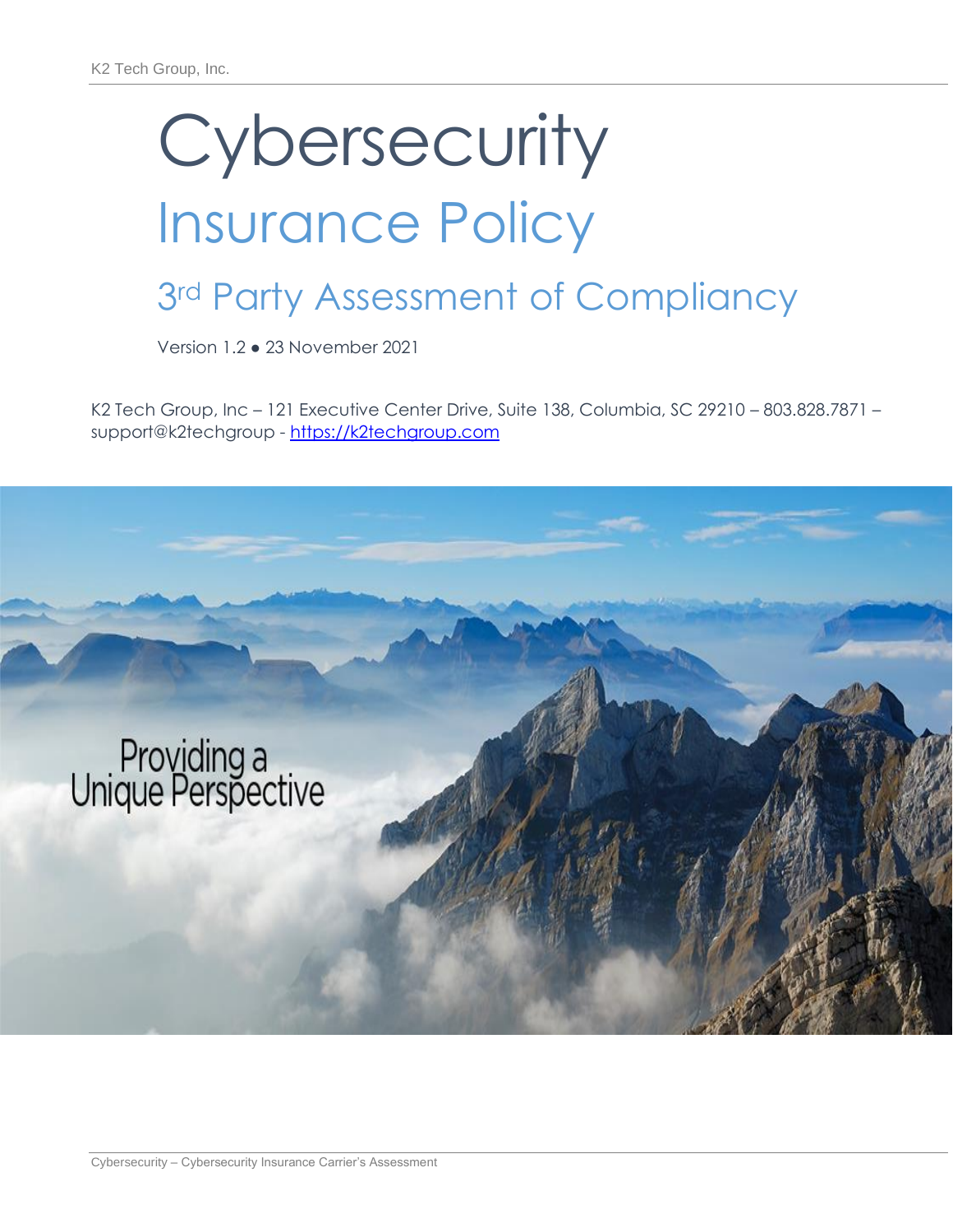## Insurance Policy

## 3rd Party Assessment of Compliancy

Version 1.2 ● 23 November 2021

K2 Tech Group, Inc – 121 Executive Center Drive, Suite 138, Columbia, SC 29210 – 803.828.7871 – support@k2techgroup - [https://k2techgroup.com](https://k2techgroup.com/)

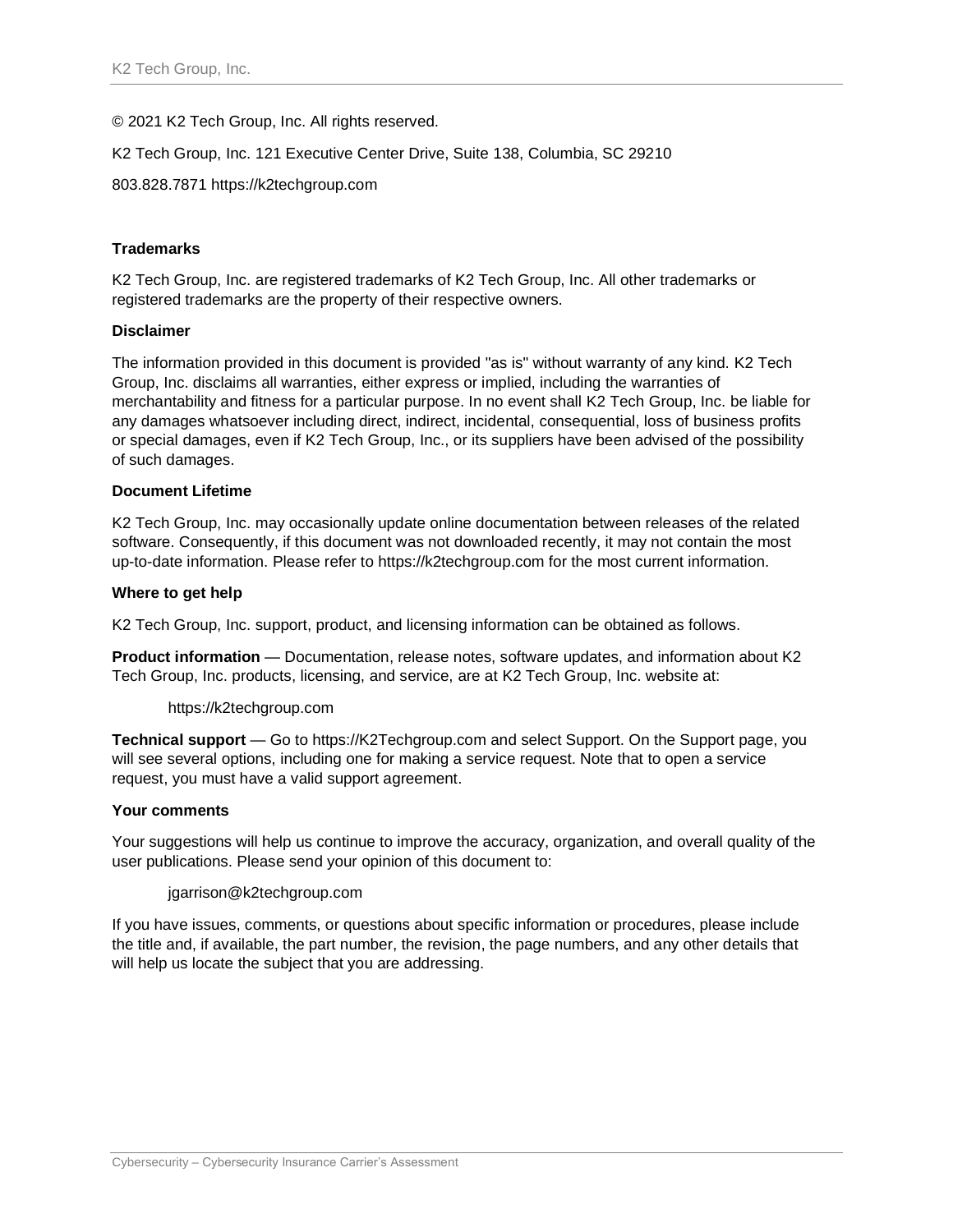© 2021 K2 Tech Group, Inc. All rights reserved.

K2 Tech Group, Inc. 121 Executive Center Drive, Suite 138, Columbia, SC 29210

803.828.7871 https://k2techgroup.com

#### **Trademarks**

K2 Tech Group, Inc. are registered trademarks of K2 Tech Group, Inc. All other trademarks or registered trademarks are the property of their respective owners.

#### **Disclaimer**

The information provided in this document is provided "as is" without warranty of any kind. K2 Tech Group, Inc. disclaims all warranties, either express or implied, including the warranties of merchantability and fitness for a particular purpose. In no event shall K2 Tech Group, Inc. be liable for any damages whatsoever including direct, indirect, incidental, consequential, loss of business profits or special damages, even if K2 Tech Group, Inc., or its suppliers have been advised of the possibility of such damages.

#### **Document Lifetime**

K2 Tech Group, Inc. may occasionally update online documentation between releases of the related software. Consequently, if this document was not downloaded recently, it may not contain the most up-to-date information. Please refer to https://k2techgroup.com for the most current information.

#### **Where to get help**

K2 Tech Group, Inc. support, product, and licensing information can be obtained as follows.

**Product information** — Documentation, release notes, software updates, and information about K2 Tech Group, Inc. products, licensing, and service, are at K2 Tech Group, Inc. website at:

#### https://k2techgroup.com

**Technical support** — Go to https://K2Techgroup.com and select Support. On the Support page, you will see several options, including one for making a service request. Note that to open a service request, you must have a valid support agreement.

#### **Your comments**

Your suggestions will help us continue to improve the accuracy, organization, and overall quality of the user publications. Please send your opinion of this document to:

#### jgarrison@k2techgroup.com

If you have issues, comments, or questions about specific information or procedures, please include the title and, if available, the part number, the revision, the page numbers, and any other details that will help us locate the subject that you are addressing.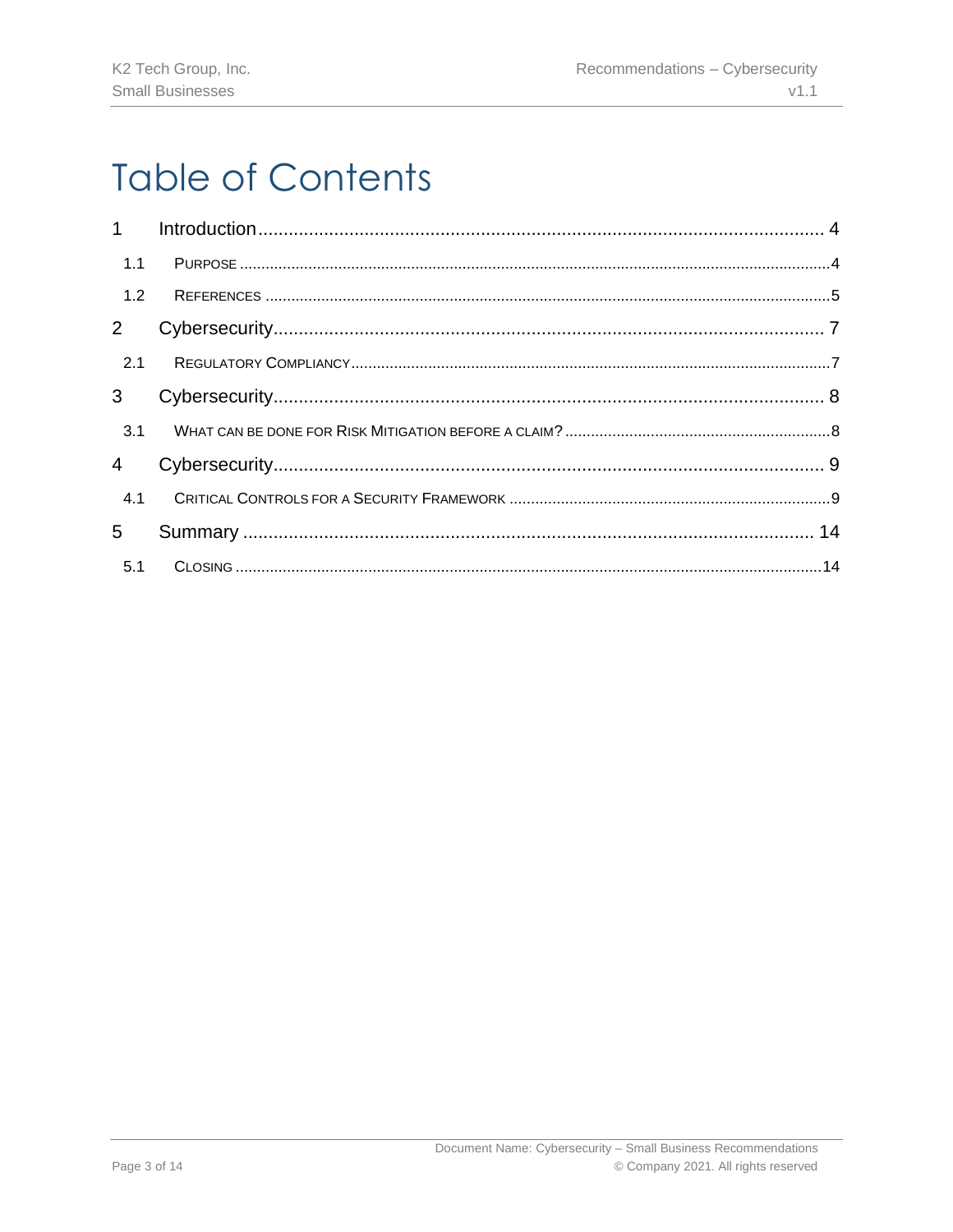## **Table of Contents**

| 1.1            |  |
|----------------|--|
| 1.2            |  |
| $2^{\circ}$    |  |
| 2.1            |  |
| 3 <sup>7</sup> |  |
| 3.1            |  |
| $\overline{4}$ |  |
| 4.1            |  |
| 5              |  |
|                |  |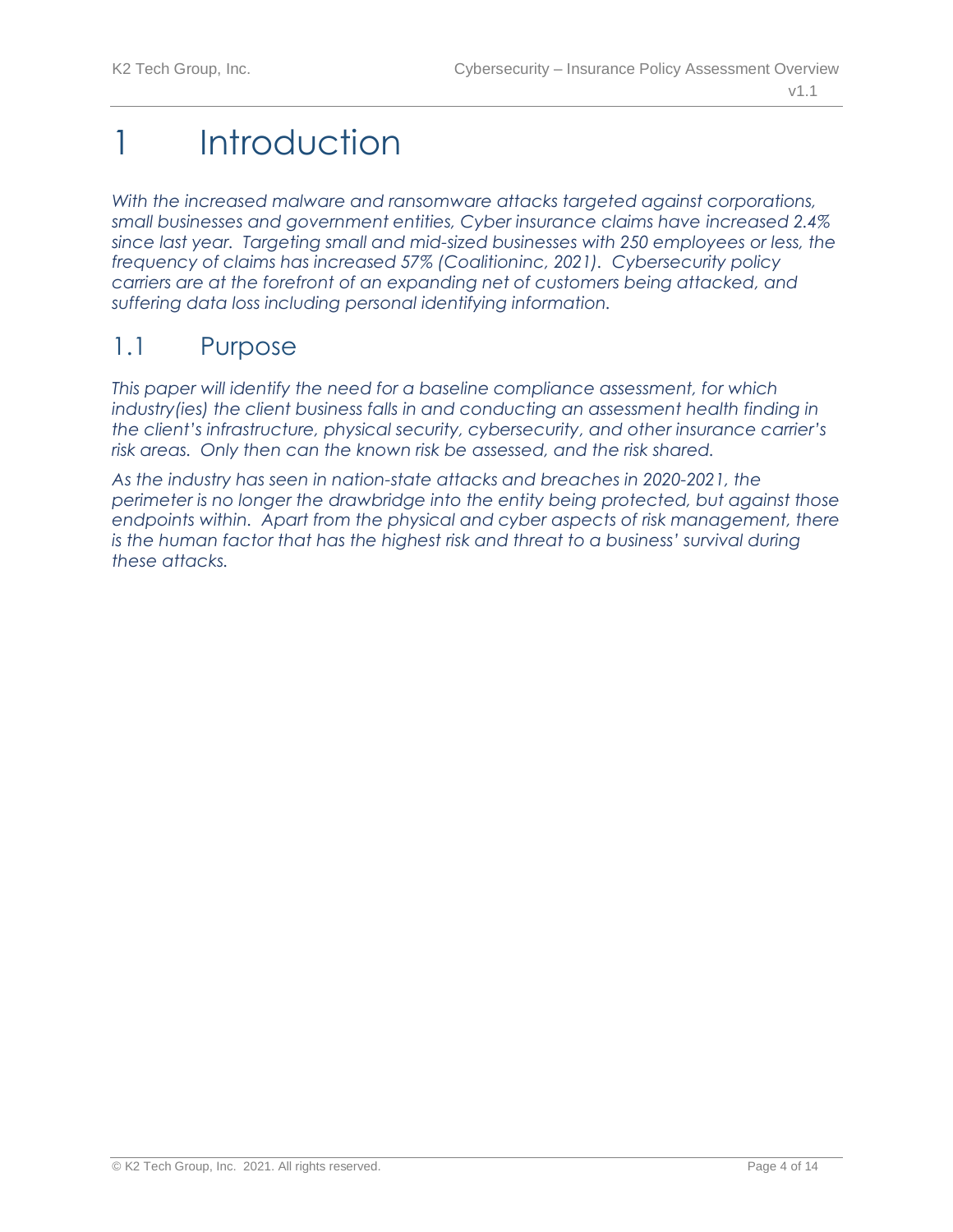## <span id="page-3-0"></span>1 Introduction

*With the increased malware and ransomware attacks targeted against corporations, small businesses and government entities, Cyber insurance claims have increased 2.4% since last year. Targeting small and mid-sized businesses with 250 employees or less, the frequency of claims has increased 57% (Coalitioninc, 2021). Cybersecurity policy carriers are at the forefront of an expanding net of customers being attacked, and suffering data loss including personal identifying information.* 

## <span id="page-3-1"></span>1.1 Purpose

*This paper will identify the need for a baseline compliance assessment, for which industry(ies) the client business falls in and conducting an assessment health finding in the client's infrastructure, physical security, cybersecurity, and other insurance carrier's risk areas. Only then can the known risk be assessed, and the risk shared.* 

*As the industry has seen in nation-state attacks and breaches in 2020-2021, the perimeter is no longer the drawbridge into the entity being protected, but against those*  endpoints within. Apart from the physical and cyber aspects of risk management, there *is the human factor that has the highest risk and threat to a business' survival during these attacks.*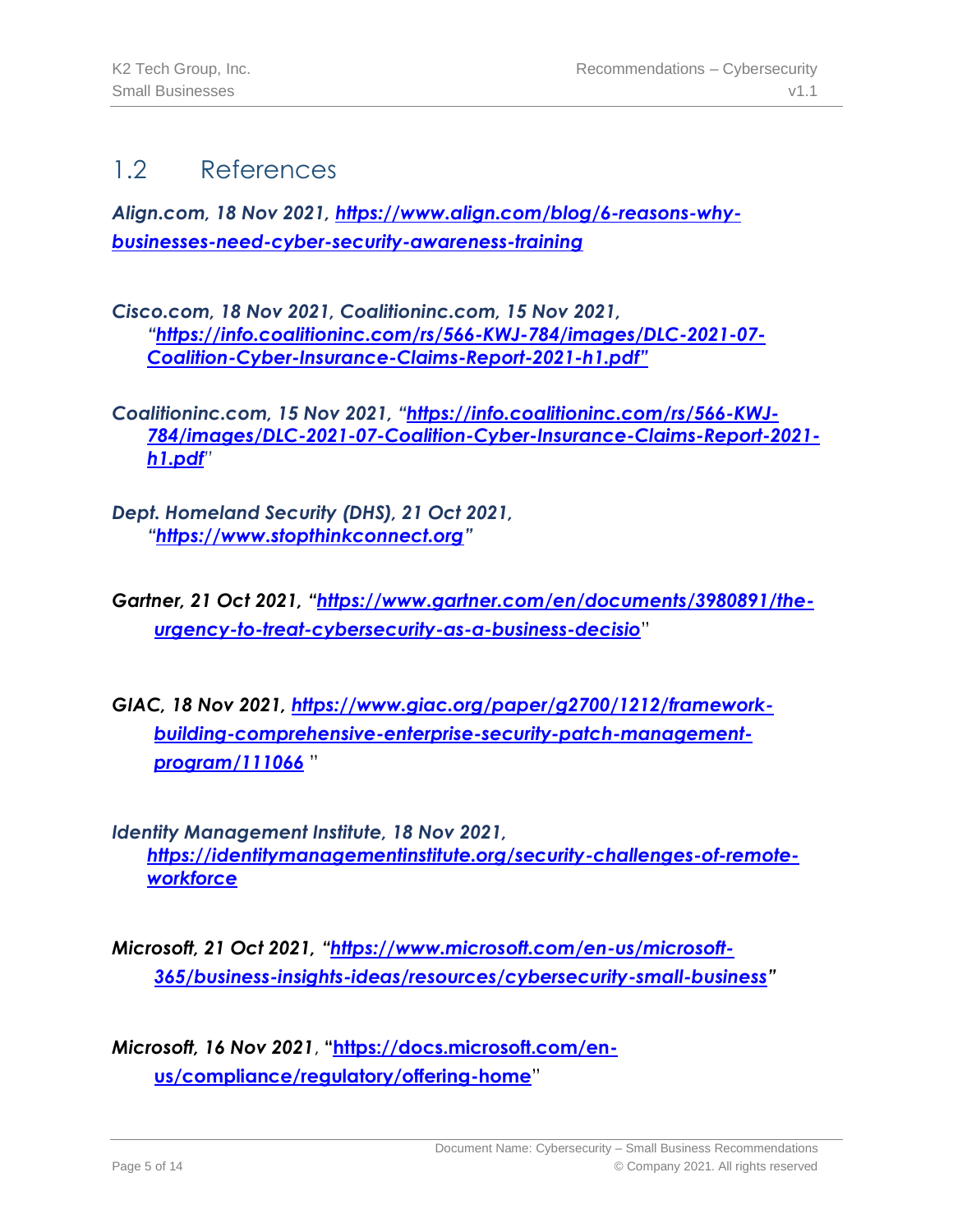## <span id="page-4-0"></span>1.2 References

*Align.com, 18 Nov 2021, [https://www.align.com/blog/6-reasons-why](https://www.align.com/blog/6-reasons-why-businesses-need-cyber-security-awareness-training)[businesses-need-cyber-security-awareness-training](https://www.align.com/blog/6-reasons-why-businesses-need-cyber-security-awareness-training)*

*Cisco.com, 18 Nov 2021, Coalitioninc.com, 15 Nov 2021, "[https://info.coalitioninc.com/rs/566-KWJ-784/images/DLC-2021-07-](https://info.coalitioninc.com/rs/566-KWJ-784/images/DLC-2021-07-Coalition-Cyber-Insurance-Claims-Report-2021-h1.pdf) [Coalition-Cyber-Insurance-Claims-Report-2021-h1.pdf](https://info.coalitioninc.com/rs/566-KWJ-784/images/DLC-2021-07-Coalition-Cyber-Insurance-Claims-Report-2021-h1.pdf)"*

*Coalitioninc.com, 15 Nov 2021, "[https://info.coalitioninc.com/rs/566-KWJ-](https://info.coalitioninc.com/rs/566-KWJ-784/images/DLC-2021-07-Coalition-Cyber-Insurance-Claims-Report-2021-h1.pdf)[784/images/DLC-2021-07-Coalition-Cyber-Insurance-Claims-Report-2021](https://info.coalitioninc.com/rs/566-KWJ-784/images/DLC-2021-07-Coalition-Cyber-Insurance-Claims-Report-2021-h1.pdf) [h1.pdf](https://info.coalitioninc.com/rs/566-KWJ-784/images/DLC-2021-07-Coalition-Cyber-Insurance-Claims-Report-2021-h1.pdf)"*

- *Dept. Homeland Security (DHS), 21 Oct 2021, "[https://www.stopthinkconnect.org](https://www.stopthinkconnect.org/)"*
- *Gartner, 21 Oct 2021, "[https://www.gartner.com/en/documents/3980891/the](https://www.gartner.com/en/documents/3980891/the-urgency-to-treat-cybersecurity-as-a-business-decisio)[urgency-to-treat-cybersecurity-as-a-business-decisio](https://www.gartner.com/en/documents/3980891/the-urgency-to-treat-cybersecurity-as-a-business-decisio)*"
- *GIAC, 18 Nov 2021, [https://www.giac.org/paper/g2700/1212/framework](https://www.giac.org/paper/g2700/1212/framework-building-comprehensive-enterprise-security-patch-management-program/111066)[building-comprehensive-enterprise-security-patch-management](https://www.giac.org/paper/g2700/1212/framework-building-comprehensive-enterprise-security-patch-management-program/111066)[program/111066](https://www.giac.org/paper/g2700/1212/framework-building-comprehensive-enterprise-security-patch-management-program/111066)* "

*Identity Management Institute, 18 Nov 2021, [https://identitymanagementinstitute.org/security-challenges-of-remote](https://identitymanagementinstitute.org/security-challenges-of-remote-workforce)[workforce](https://identitymanagementinstitute.org/security-challenges-of-remote-workforce)*

*Microsoft, 21 Oct 2021, "[https://www.microsoft.com/en-us/microsoft-](https://www.microsoft.com/en-us/microsoft-365/business-insights-ideas/resources/cybersecurity-small-business)[365/business-insights-ideas/resources/cybersecurity-small-business](https://www.microsoft.com/en-us/microsoft-365/business-insights-ideas/resources/cybersecurity-small-business)"*

*Microsoft, 16 Nov 2021*, **"[https://docs.microsoft.com/en](https://docs.microsoft.com/en-us/compliance/regulatory/offering-home)[us/compliance/regulatory/offering-home](https://docs.microsoft.com/en-us/compliance/regulatory/offering-home)**"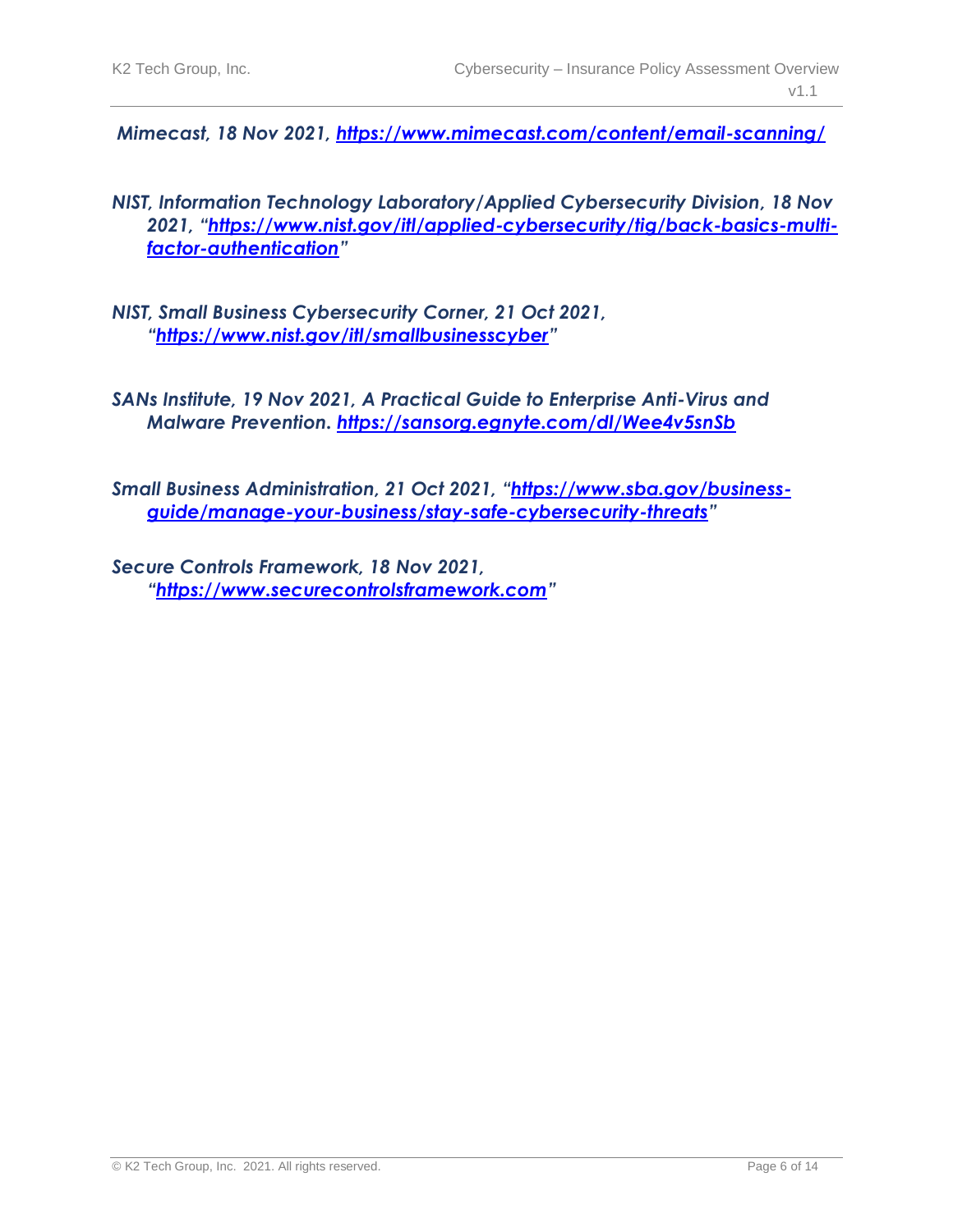*Mimecast, 18 Nov 2021,<https://www.mimecast.com/content/email-scanning/>*

- *NIST, Information Technology Laboratory/Applied Cybersecurity Division, 18 Nov 2021, "[https://www.nist.gov/itl/applied-cybersecurity/tig/back-basics-multi](https://www.nist.gov/itl/applied-cybersecurity/tig/back-basics-multi-factor-authentication)[factor-authentication](https://www.nist.gov/itl/applied-cybersecurity/tig/back-basics-multi-factor-authentication)"*
- *NIST, Small Business Cybersecurity Corner, 21 Oct 2021, "<https://www.nist.gov/itl/smallbusinesscyber>"*
- *SANs Institute, 19 Nov 2021, A Practical Guide to Enterprise Anti-Virus and Malware Prevention.<https://sansorg.egnyte.com/dl/Wee4v5snSb>*
- *Small Business Administration, 21 Oct 2021, "[https://www.sba.gov/business](https://www.sba.gov/business-guide/manage-your-business/stay-safe-cybersecurity-threats)[guide/manage-your-business/stay-safe-cybersecurity-threats](https://www.sba.gov/business-guide/manage-your-business/stay-safe-cybersecurity-threats)"*
- *Secure Controls Framework, 18 Nov 2021, "[https://www.securecontrolsframework.com](https://www.securecontrolsframework.com/)"*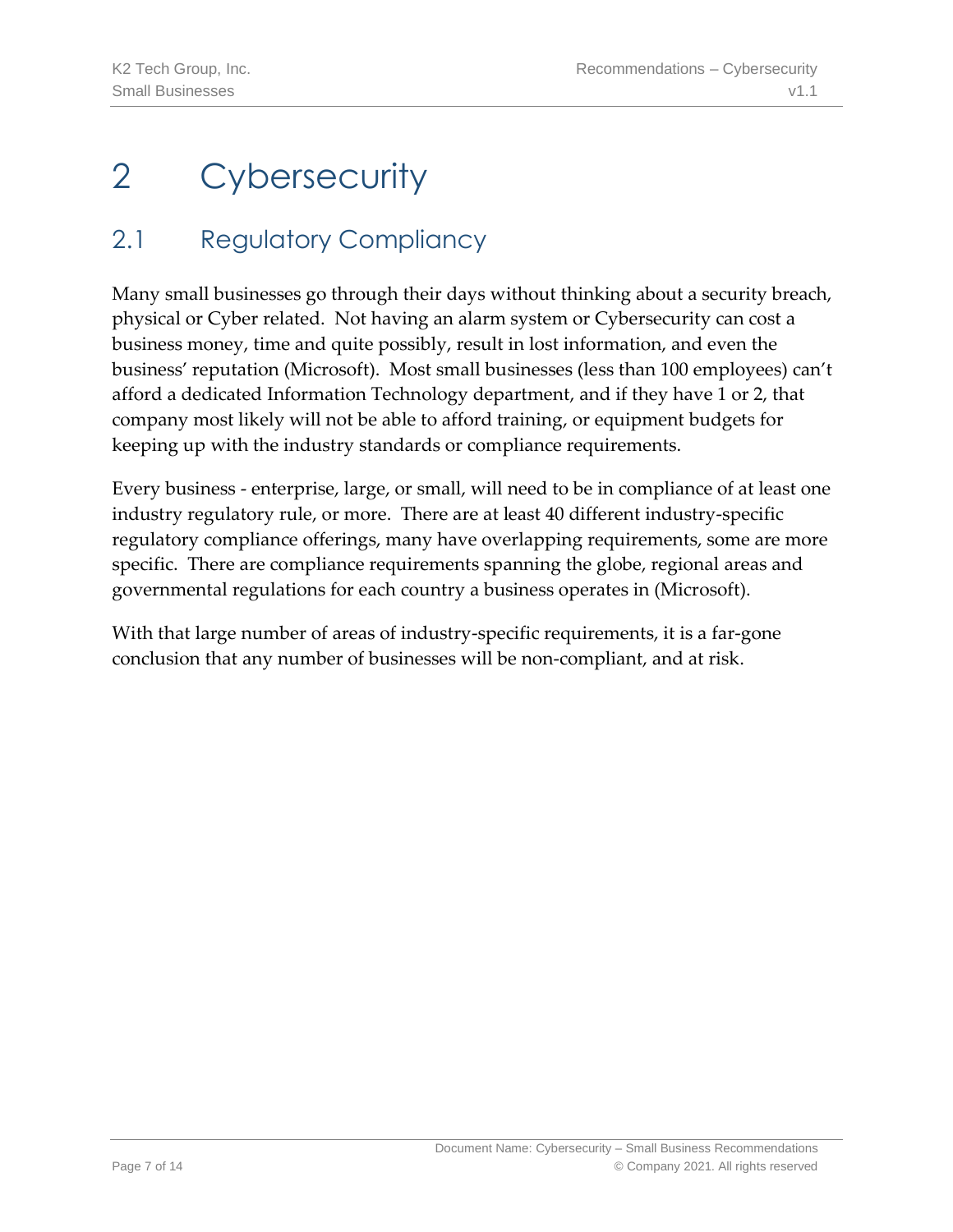## <span id="page-6-1"></span><span id="page-6-0"></span>2.1 Regulatory Compliancy

Many small businesses go through their days without thinking about a security breach, physical or Cyber related. Not having an alarm system or Cybersecurity can cost a business money, time and quite possibly, result in lost information, and even the business' reputation (Microsoft). Most small businesses (less than 100 employees) can't afford a dedicated Information Technology department, and if they have 1 or 2, that company most likely will not be able to afford training, or equipment budgets for keeping up with the industry standards or compliance requirements.

Every business - enterprise, large, or small, will need to be in compliance of at least one industry regulatory rule, or more. There are at least 40 different industry-specific regulatory compliance offerings, many have overlapping requirements, some are more specific. There are compliance requirements spanning the globe, regional areas and governmental regulations for each country a business operates in (Microsoft).

With that large number of areas of industry-specific requirements, it is a far-gone conclusion that any number of businesses will be non-compliant, and at risk.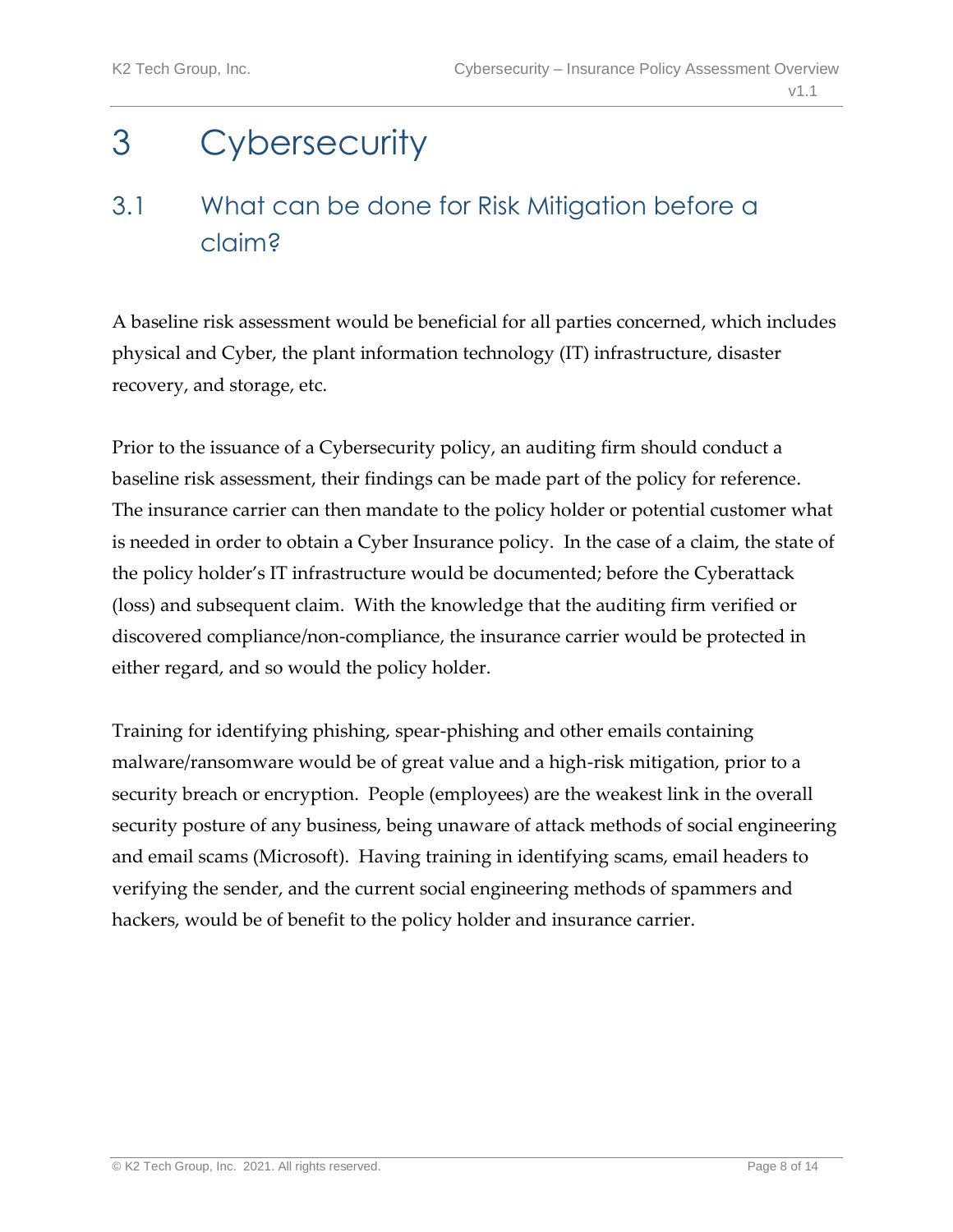## <span id="page-7-1"></span><span id="page-7-0"></span>3.1 What can be done for Risk Mitigation before a claim?

A baseline risk assessment would be beneficial for all parties concerned, which includes physical and Cyber, the plant information technology (IT) infrastructure, disaster recovery, and storage, etc.

Prior to the issuance of a Cybersecurity policy, an auditing firm should conduct a baseline risk assessment, their findings can be made part of the policy for reference. The insurance carrier can then mandate to the policy holder or potential customer what is needed in order to obtain a Cyber Insurance policy. In the case of a claim, the state of the policy holder's IT infrastructure would be documented; before the Cyberattack (loss) and subsequent claim. With the knowledge that the auditing firm verified or discovered compliance/non-compliance, the insurance carrier would be protected in either regard, and so would the policy holder.

Training for identifying phishing, spear-phishing and other emails containing malware/ransomware would be of great value and a high-risk mitigation, prior to a security breach or encryption. People (employees) are the weakest link in the overall security posture of any business, being unaware of attack methods of social engineering and email scams (Microsoft). Having training in identifying scams, email headers to verifying the sender, and the current social engineering methods of spammers and hackers, would be of benefit to the policy holder and insurance carrier.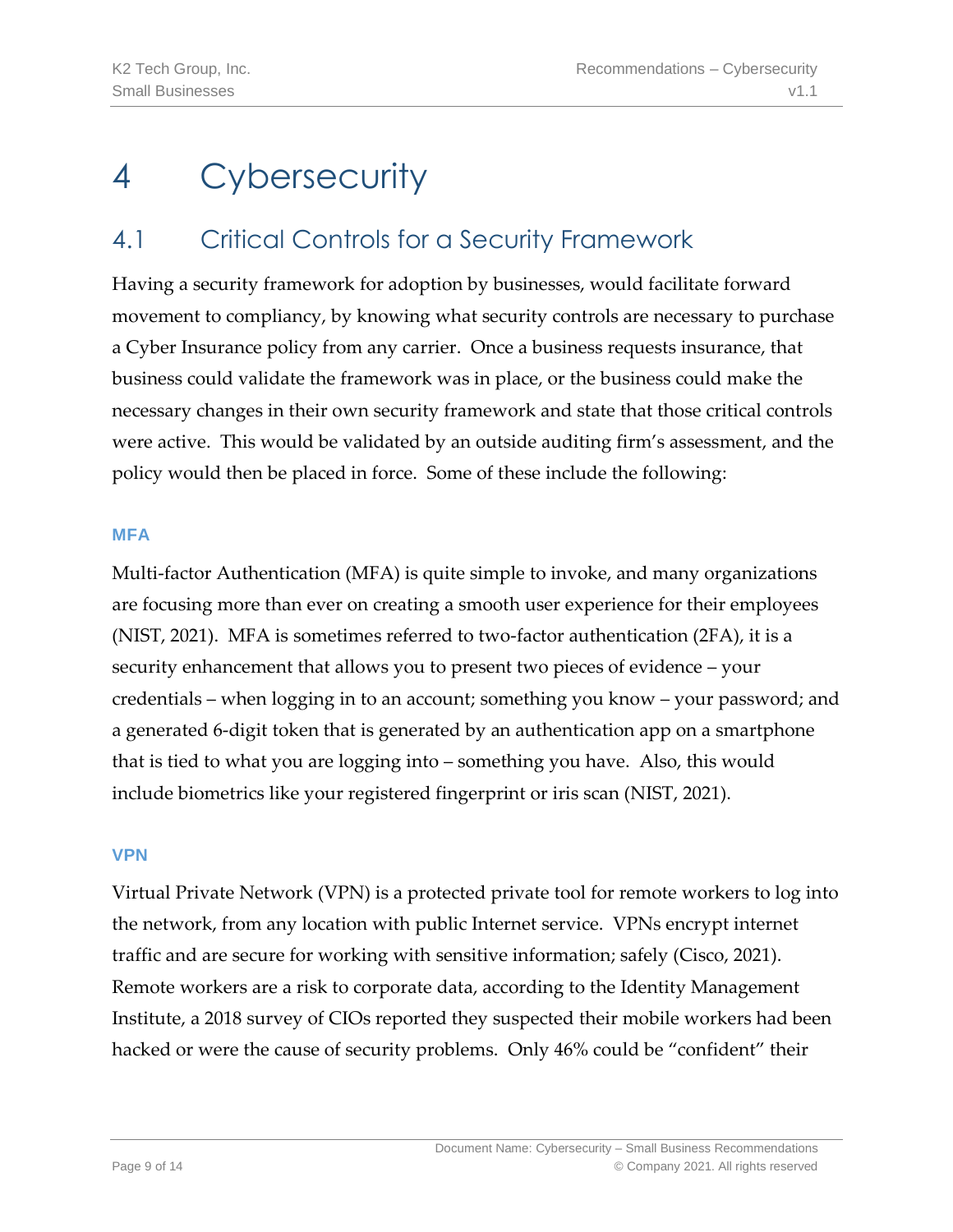## <span id="page-8-1"></span><span id="page-8-0"></span>4.1 Critical Controls for a Security Framework

Having a security framework for adoption by businesses, would facilitate forward movement to compliancy, by knowing what security controls are necessary to purchase a Cyber Insurance policy from any carrier. Once a business requests insurance, that business could validate the framework was in place, or the business could make the necessary changes in their own security framework and state that those critical controls were active. This would be validated by an outside auditing firm's assessment, and the policy would then be placed in force. Some of these include the following:

#### **MFA**

Multi-factor Authentication (MFA) is quite simple to invoke, and many organizations are focusing more than ever on creating a smooth user experience for their employees (NIST, 2021). MFA is sometimes referred to two-factor authentication (2FA), it is a security enhancement that allows you to present two pieces of evidence – your credentials – when logging in to an account; something you know – your password; and a generated 6-digit token that is generated by an authentication app on a smartphone that is tied to what you are logging into – something you have. Also, this would include biometrics like your registered fingerprint or iris scan (NIST, 2021).

#### **VPN**

Virtual Private Network (VPN) is a protected private tool for remote workers to log into the network, from any location with public Internet service. VPNs encrypt internet traffic and are secure for working with sensitive information; safely (Cisco, 2021). Remote workers are a risk to corporate data, according to the Identity Management Institute, a 2018 survey of CIOs reported they suspected their mobile workers had been hacked or were the cause of security problems. Only 46% could be "confident" their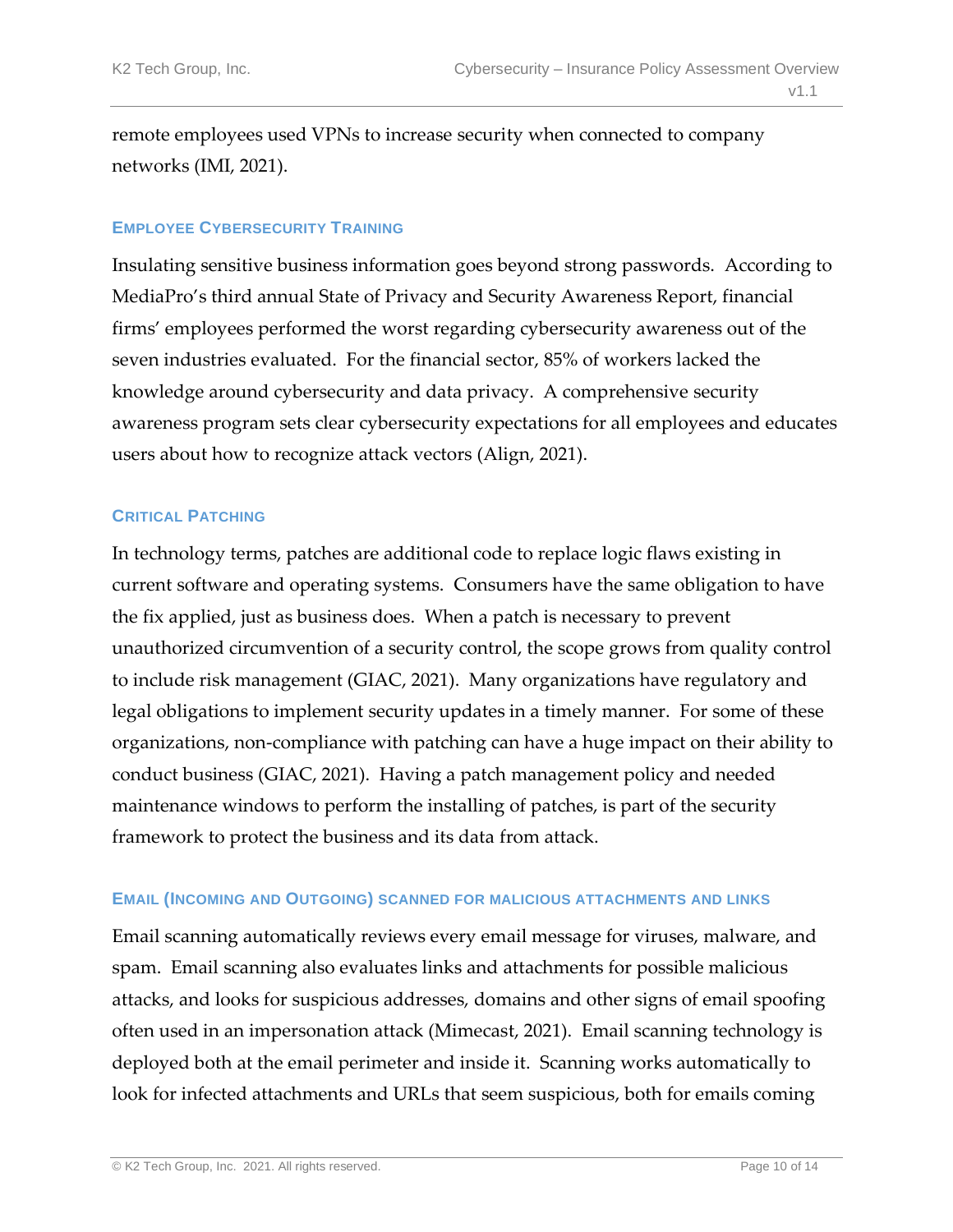remote employees used VPNs to increase security when connected to company networks (IMI, 2021).

#### **EMPLOYEE CYBERSECURITY TRAINING**

Insulating sensitive business information goes beyond strong passwords. According to MediaPro's third annual State of Privacy and Security Awareness Report, financial firms' employees performed the worst regarding cybersecurity awareness out of the seven industries evaluated. For the financial sector, 85% of workers lacked the knowledge around cybersecurity and data privacy. A comprehensive security awareness program sets clear cybersecurity expectations for all employees and educates users about how to recognize attack vectors (Align, 2021).

#### **CRITICAL PATCHING**

In technology terms, patches are additional code to replace logic flaws existing in current software and operating systems. Consumers have the same obligation to have the fix applied, just as business does. When a patch is necessary to prevent unauthorized circumvention of a security control, the scope grows from quality control to include risk management (GIAC, 2021). Many organizations have regulatory and legal obligations to implement security updates in a timely manner. For some of these organizations, non-compliance with patching can have a huge impact on their ability to conduct business (GIAC, 2021). Having a patch management policy and needed maintenance windows to perform the installing of patches, is part of the security framework to protect the business and its data from attack.

#### **EMAIL (INCOMING AND OUTGOING) SCANNED FOR MALICIOUS ATTACHMENTS AND LINKS**

Email scanning automatically reviews every email message for viruses, malware, and spam. Email scanning also evaluates links and attachments for possible malicious attacks, and looks for suspicious addresses, domains and other signs of email spoofing often used in an impersonation attack (Mimecast, 2021). Email scanning technology is deployed both at the email perimeter and inside it. Scanning works automatically to look for infected attachments and URLs that seem suspicious, both for emails coming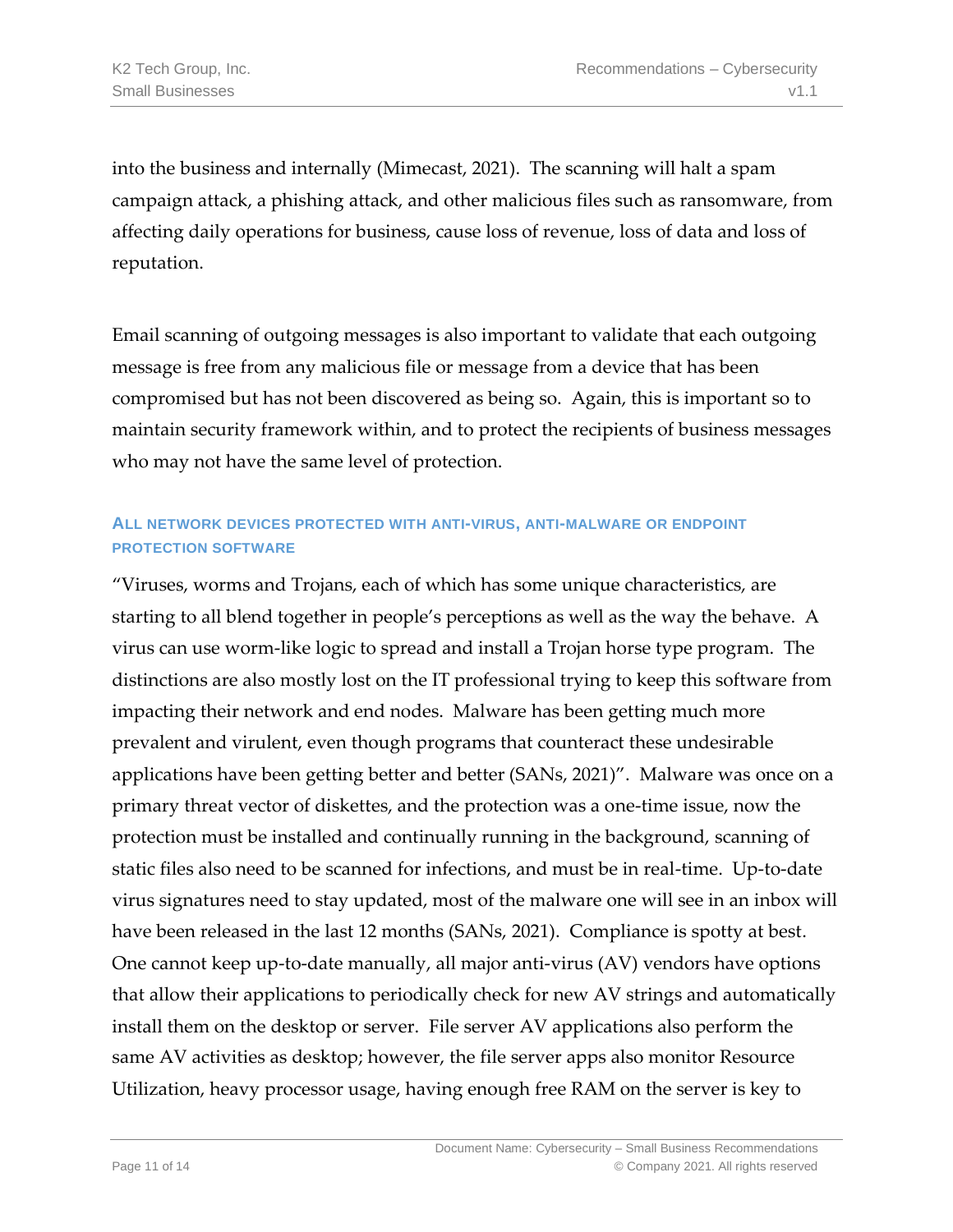into the business and internally (Mimecast, 2021). The scanning will halt a spam campaign attack, a phishing attack, and other malicious files such as ransomware, from affecting daily operations for business, cause loss of revenue, loss of data and loss of reputation.

Email scanning of outgoing messages is also important to validate that each outgoing message is free from any malicious file or message from a device that has been compromised but has not been discovered as being so. Again, this is important so to maintain security framework within, and to protect the recipients of business messages who may not have the same level of protection.

### **ALL NETWORK DEVICES PROTECTED WITH ANTI-VIRUS, ANTI-MALWARE OR ENDPOINT PROTECTION SOFTWARE**

"Viruses, worms and Trojans, each of which has some unique characteristics, are starting to all blend together in people's perceptions as well as the way the behave. A virus can use worm-like logic to spread and install a Trojan horse type program. The distinctions are also mostly lost on the IT professional trying to keep this software from impacting their network and end nodes. Malware has been getting much more prevalent and virulent, even though programs that counteract these undesirable applications have been getting better and better (SANs, 2021)". Malware was once on a primary threat vector of diskettes, and the protection was a one-time issue, now the protection must be installed and continually running in the background, scanning of static files also need to be scanned for infections, and must be in real-time. Up-to-date virus signatures need to stay updated, most of the malware one will see in an inbox will have been released in the last 12 months (SANs, 2021). Compliance is spotty at best. One cannot keep up-to-date manually, all major anti-virus (AV) vendors have options that allow their applications to periodically check for new AV strings and automatically install them on the desktop or server. File server AV applications also perform the same AV activities as desktop; however, the file server apps also monitor Resource Utilization, heavy processor usage, having enough free RAM on the server is key to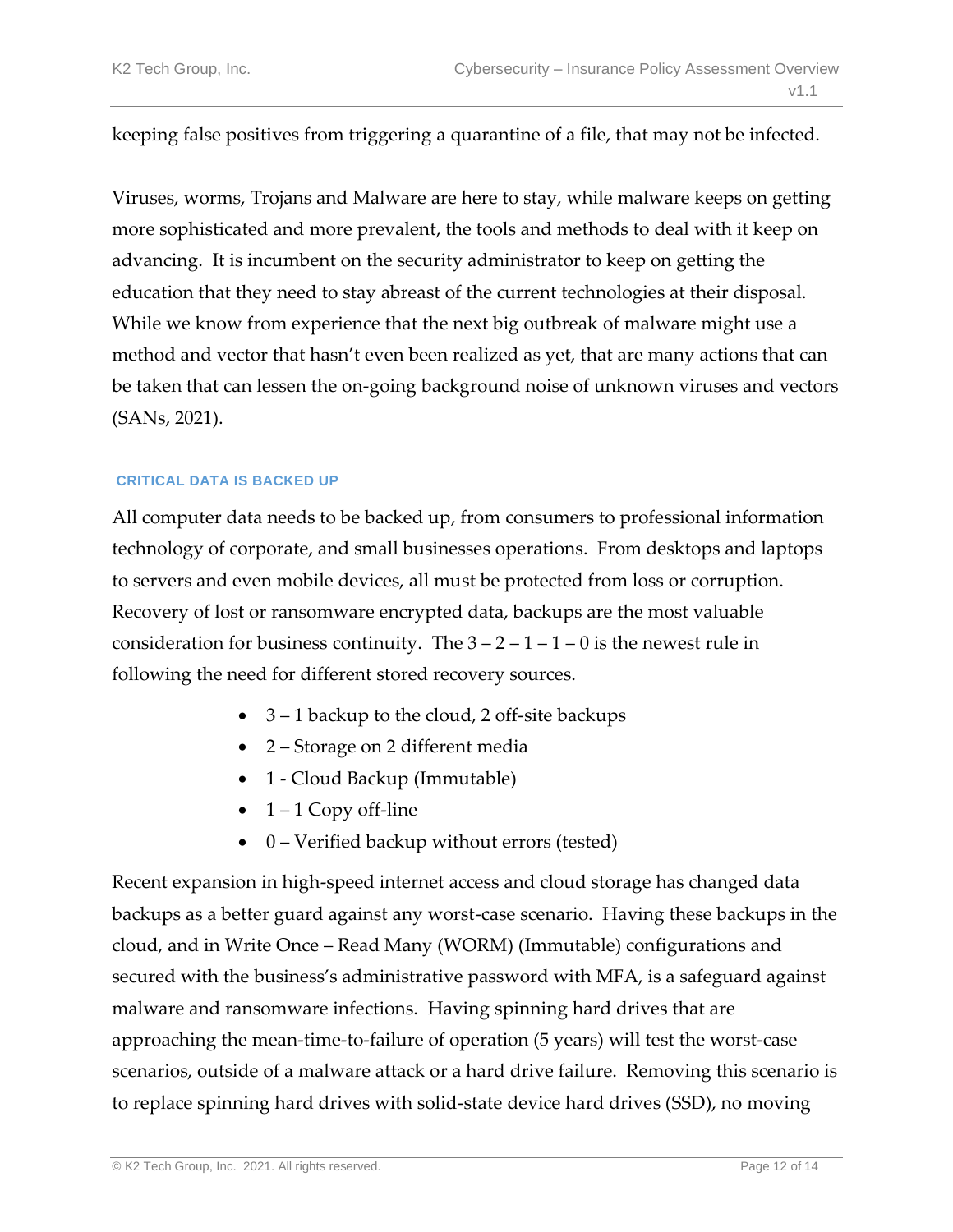keeping false positives from triggering a quarantine of a file, that may not be infected.

Viruses, worms, Trojans and Malware are here to stay, while malware keeps on getting more sophisticated and more prevalent, the tools and methods to deal with it keep on advancing. It is incumbent on the security administrator to keep on getting the education that they need to stay abreast of the current technologies at their disposal. While we know from experience that the next big outbreak of malware might use a method and vector that hasn't even been realized as yet, that are many actions that can be taken that can lessen the on-going background noise of unknown viruses and vectors (SANs, 2021).

#### **CRITICAL DATA IS BACKED UP**

All computer data needs to be backed up, from consumers to professional information technology of corporate, and small businesses operations. From desktops and laptops to servers and even mobile devices, all must be protected from loss or corruption. Recovery of lost or ransomware encrypted data, backups are the most valuable consideration for business continuity. The  $3 - 2 - 1 - 1 - 0$  is the newest rule in following the need for different stored recovery sources.

- 3 1 backup to the cloud, 2 off-site backups
- 2 Storage on 2 different media
- 1 Cloud Backup (Immutable)
- $1 1$  Copy off-line
- 0 Verified backup without errors (tested)

Recent expansion in high-speed internet access and cloud storage has changed data backups as a better guard against any worst-case scenario. Having these backups in the cloud, and in Write Once – Read Many (WORM) (Immutable) configurations and secured with the business's administrative password with MFA, is a safeguard against malware and ransomware infections. Having spinning hard drives that are approaching the mean-time-to-failure of operation (5 years) will test the worst-case scenarios, outside of a malware attack or a hard drive failure. Removing this scenario is to replace spinning hard drives with solid-state device hard drives (SSD), no moving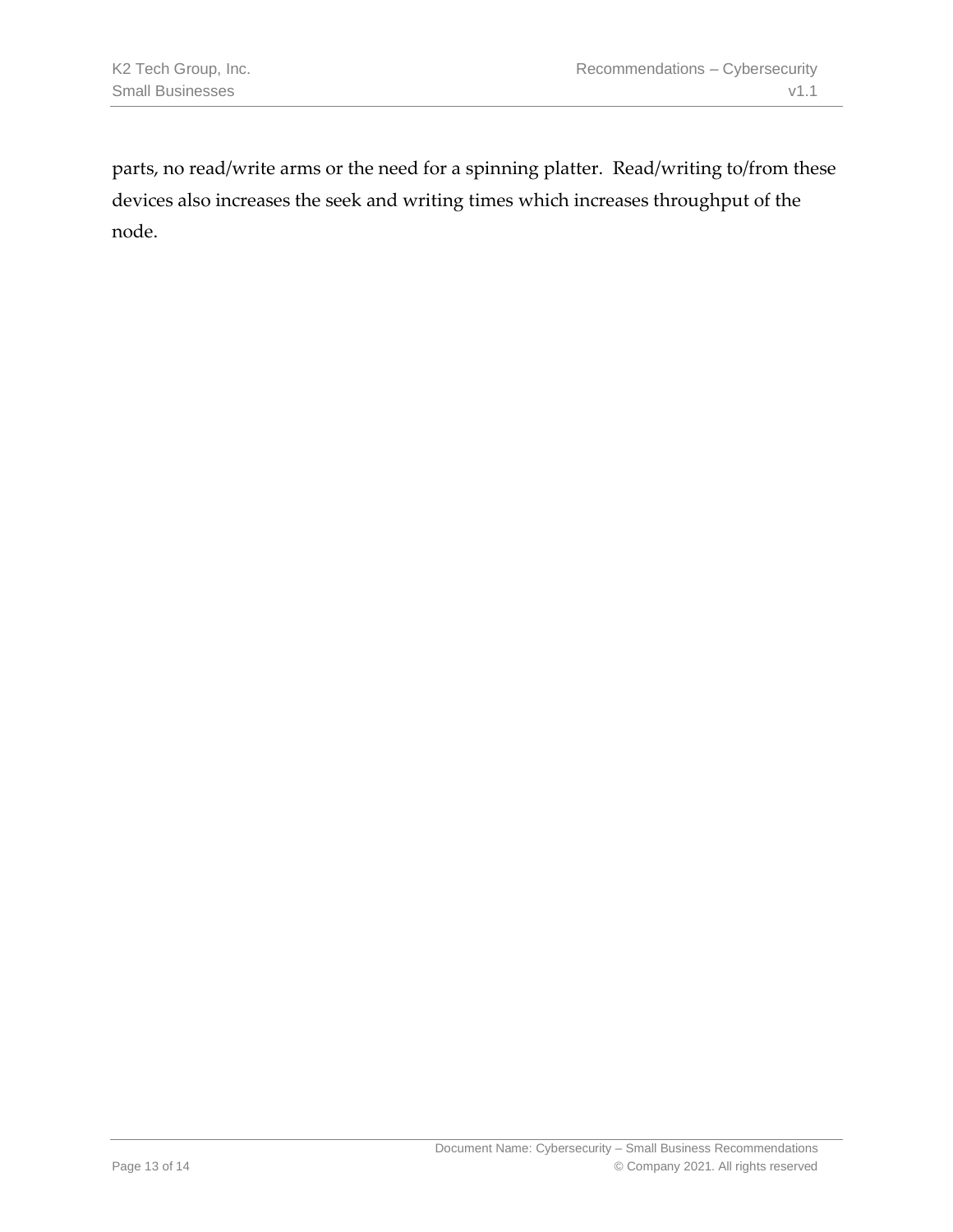parts, no read/write arms or the need for a spinning platter. Read/writing to/from these devices also increases the seek and writing times which increases throughput of the node.